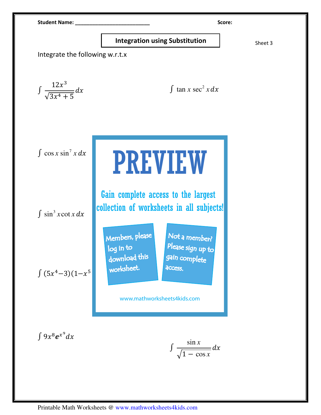